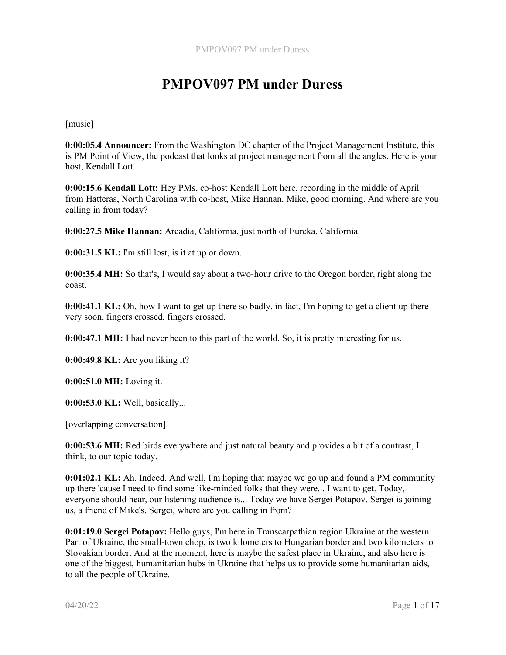[music]

0:00:05.4 Announcer: From the Washington DC chapter of the Project Management Institute, this is PM Point of View, the podcast that looks at project management from all the angles. Here is your host, Kendall Lott.

0:00:15.6 Kendall Lott: Hey PMs, co-host Kendall Lott here, recording in the middle of April from Hatteras, North Carolina with co-host, Mike Hannan. Mike, good morning. And where are you calling in from today?

0:00:27.5 Mike Hannan: Arcadia, California, just north of Eureka, California.

0:00:31.5 KL: I'm still lost, is it at up or down.

0:00:35.4 MH: So that's, I would say about a two-hour drive to the Oregon border, right along the coast.

0:00:41.1 KL: Oh, how I want to get up there so badly, in fact, I'm hoping to get a client up there very soon, fingers crossed, fingers crossed.

0:00:47.1 MH: I had never been to this part of the world. So, it is pretty interesting for us.

0:00:49.8 KL: Are you liking it?

0:00:51.0 MH: Loving it.

0:00:53.0 KL: Well, basically...

[overlapping conversation]

0:00:53.6 MH: Red birds everywhere and just natural beauty and provides a bit of a contrast, I think, to our topic today.

0:01:02.1 KL: Ah. Indeed. And well, I'm hoping that maybe we go up and found a PM community up there 'cause I need to find some like-minded folks that they were... I want to get. Today, everyone should hear, our listening audience is... Today we have Sergei Potapov. Sergei is joining us, a friend of Mike's. Sergei, where are you calling in from?

0:01:19.0 Sergei Potapov: Hello guys, I'm here in Transcarpathian region Ukraine at the western Part of Ukraine, the small-town chop, is two kilometers to Hungarian border and two kilometers to Slovakian border. And at the moment, here is maybe the safest place in Ukraine, and also here is one of the biggest, humanitarian hubs in Ukraine that helps us to provide some humanitarian aids, to all the people of Ukraine.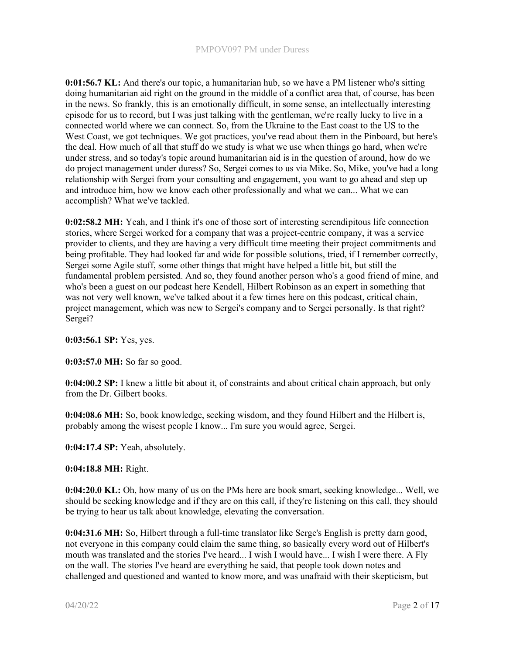0:01:56.7 KL: And there's our topic, a humanitarian hub, so we have a PM listener who's sitting doing humanitarian aid right on the ground in the middle of a conflict area that, of course, has been in the news. So frankly, this is an emotionally difficult, in some sense, an intellectually interesting episode for us to record, but I was just talking with the gentleman, we're really lucky to live in a connected world where we can connect. So, from the Ukraine to the East coast to the US to the West Coast, we got techniques. We got practices, you've read about them in the Pinboard, but here's the deal. How much of all that stuff do we study is what we use when things go hard, when we're under stress, and so today's topic around humanitarian aid is in the question of around, how do we do project management under duress? So, Sergei comes to us via Mike. So, Mike, you've had a long relationship with Sergei from your consulting and engagement, you want to go ahead and step up and introduce him, how we know each other professionally and what we can... What we can accomplish? What we've tackled.

0:02:58.2 MH: Yeah, and I think it's one of those sort of interesting serendipitous life connection stories, where Sergei worked for a company that was a project-centric company, it was a service provider to clients, and they are having a very difficult time meeting their project commitments and being profitable. They had looked far and wide for possible solutions, tried, if I remember correctly, Sergei some Agile stuff, some other things that might have helped a little bit, but still the fundamental problem persisted. And so, they found another person who's a good friend of mine, and who's been a guest on our podcast here Kendell, Hilbert Robinson as an expert in something that was not very well known, we've talked about it a few times here on this podcast, critical chain, project management, which was new to Sergei's company and to Sergei personally. Is that right? Sergei?

0:03:56.1 SP: Yes, yes.

0:03:57.0 MH: So far so good.

0:04:00.2 SP: I knew a little bit about it, of constraints and about critical chain approach, but only from the Dr. Gilbert books.

0:04:08.6 MH: So, book knowledge, seeking wisdom, and they found Hilbert and the Hilbert is, probably among the wisest people I know... I'm sure you would agree, Sergei.

0:04:17.4 SP: Yeah, absolutely.

0:04:18.8 MH: Right.

0:04:20.0 KL: Oh, how many of us on the PMs here are book smart, seeking knowledge... Well, we should be seeking knowledge and if they are on this call, if they're listening on this call, they should be trying to hear us talk about knowledge, elevating the conversation.

0:04:31.6 MH: So, Hilbert through a full-time translator like Serge's English is pretty darn good, not everyone in this company could claim the same thing, so basically every word out of Hilbert's mouth was translated and the stories I've heard... I wish I would have... I wish I were there. A Fly on the wall. The stories I've heard are everything he said, that people took down notes and challenged and questioned and wanted to know more, and was unafraid with their skepticism, but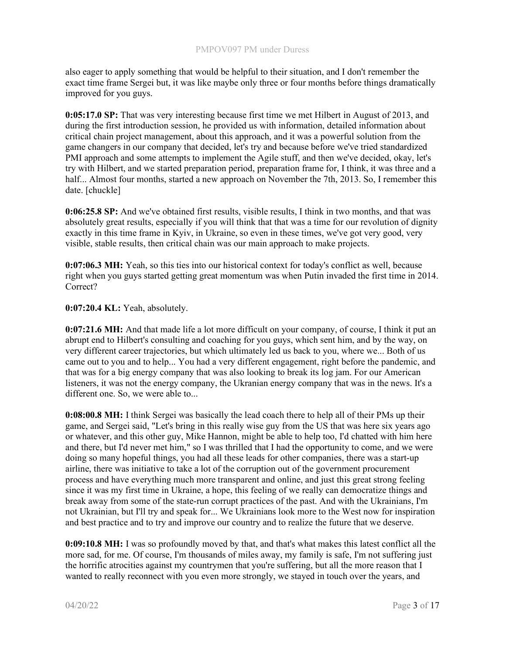also eager to apply something that would be helpful to their situation, and I don't remember the exact time frame Sergei but, it was like maybe only three or four months before things dramatically improved for you guys.

0:05:17.0 SP: That was very interesting because first time we met Hilbert in August of 2013, and during the first introduction session, he provided us with information, detailed information about critical chain project management, about this approach, and it was a powerful solution from the game changers in our company that decided, let's try and because before we've tried standardized PMI approach and some attempts to implement the Agile stuff, and then we've decided, okay, let's try with Hilbert, and we started preparation period, preparation frame for, I think, it was three and a half... Almost four months, started a new approach on November the 7th, 2013. So, I remember this date. [chuckle]

0:06:25.8 SP: And we've obtained first results, visible results, I think in two months, and that was absolutely great results, especially if you will think that that was a time for our revolution of dignity exactly in this time frame in Kyiv, in Ukraine, so even in these times, we've got very good, very visible, stable results, then critical chain was our main approach to make projects.

0:07:06.3 MH: Yeah, so this ties into our historical context for today's conflict as well, because right when you guys started getting great momentum was when Putin invaded the first time in 2014. Correct?

0:07:20.4 KL: Yeah, absolutely.

0:07:21.6 MH: And that made life a lot more difficult on your company, of course, I think it put an abrupt end to Hilbert's consulting and coaching for you guys, which sent him, and by the way, on very different career trajectories, but which ultimately led us back to you, where we... Both of us came out to you and to help... You had a very different engagement, right before the pandemic, and that was for a big energy company that was also looking to break its log jam. For our American listeners, it was not the energy company, the Ukranian energy company that was in the news. It's a different one. So, we were able to...

0:08:00.8 MH: I think Sergei was basically the lead coach there to help all of their PMs up their game, and Sergei said, "Let's bring in this really wise guy from the US that was here six years ago or whatever, and this other guy, Mike Hannon, might be able to help too, I'd chatted with him here and there, but I'd never met him," so I was thrilled that I had the opportunity to come, and we were doing so many hopeful things, you had all these leads for other companies, there was a start-up airline, there was initiative to take a lot of the corruption out of the government procurement process and have everything much more transparent and online, and just this great strong feeling since it was my first time in Ukraine, a hope, this feeling of we really can democratize things and break away from some of the state-run corrupt practices of the past. And with the Ukrainians, I'm not Ukrainian, but I'll try and speak for... We Ukrainians look more to the West now for inspiration and best practice and to try and improve our country and to realize the future that we deserve.

0:09:10.8 MH: I was so profoundly moved by that, and that's what makes this latest conflict all the more sad, for me. Of course, I'm thousands of miles away, my family is safe, I'm not suffering just the horrific atrocities against my countrymen that you're suffering, but all the more reason that I wanted to really reconnect with you even more strongly, we stayed in touch over the years, and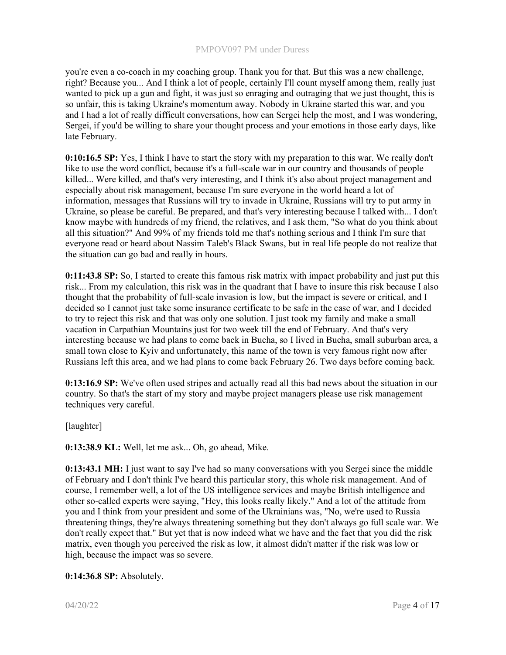you're even a co-coach in my coaching group. Thank you for that. But this was a new challenge, right? Because you... And I think a lot of people, certainly I'll count myself among them, really just wanted to pick up a gun and fight, it was just so enraging and outraging that we just thought, this is so unfair, this is taking Ukraine's momentum away. Nobody in Ukraine started this war, and you and I had a lot of really difficult conversations, how can Sergei help the most, and I was wondering, Sergei, if you'd be willing to share your thought process and your emotions in those early days, like late February.

0:10:16.5 SP: Yes, I think I have to start the story with my preparation to this war. We really don't like to use the word conflict, because it's a full-scale war in our country and thousands of people killed... Were killed, and that's very interesting, and I think it's also about project management and especially about risk management, because I'm sure everyone in the world heard a lot of information, messages that Russians will try to invade in Ukraine, Russians will try to put army in Ukraine, so please be careful. Be prepared, and that's very interesting because I talked with... I don't know maybe with hundreds of my friend, the relatives, and I ask them, "So what do you think about all this situation?" And 99% of my friends told me that's nothing serious and I think I'm sure that everyone read or heard about Nassim Taleb's Black Swans, but in real life people do not realize that the situation can go bad and really in hours.

0:11:43.8 SP: So, I started to create this famous risk matrix with impact probability and just put this risk... From my calculation, this risk was in the quadrant that I have to insure this risk because I also thought that the probability of full-scale invasion is low, but the impact is severe or critical, and I decided so I cannot just take some insurance certificate to be safe in the case of war, and I decided to try to reject this risk and that was only one solution. I just took my family and make a small vacation in Carpathian Mountains just for two week till the end of February. And that's very interesting because we had plans to come back in Bucha, so I lived in Bucha, small suburban area, a small town close to Kyiv and unfortunately, this name of the town is very famous right now after Russians left this area, and we had plans to come back February 26. Two days before coming back.

0:13:16.9 SP: We've often used stripes and actually read all this bad news about the situation in our country. So that's the start of my story and maybe project managers please use risk management techniques very careful.

[laughter]

0:13:38.9 KL: Well, let me ask... Oh, go ahead, Mike.

0:13:43.1 MH: I just want to say I've had so many conversations with you Sergei since the middle of February and I don't think I've heard this particular story, this whole risk management. And of course, I remember well, a lot of the US intelligence services and maybe British intelligence and other so-called experts were saying, "Hey, this looks really likely." And a lot of the attitude from you and I think from your president and some of the Ukrainians was, "No, we're used to Russia threatening things, they're always threatening something but they don't always go full scale war. We don't really expect that." But yet that is now indeed what we have and the fact that you did the risk matrix, even though you perceived the risk as low, it almost didn't matter if the risk was low or high, because the impact was so severe.

0:14:36.8 SP: Absolutely.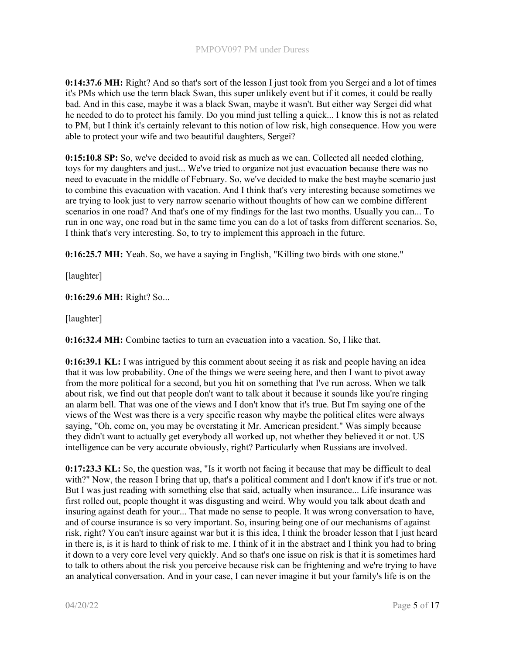0:14:37.6 MH: Right? And so that's sort of the lesson I just took from you Sergei and a lot of times it's PMs which use the term black Swan, this super unlikely event but if it comes, it could be really bad. And in this case, maybe it was a black Swan, maybe it wasn't. But either way Sergei did what he needed to do to protect his family. Do you mind just telling a quick... I know this is not as related to PM, but I think it's certainly relevant to this notion of low risk, high consequence. How you were able to protect your wife and two beautiful daughters, Sergei?

0:15:10.8 SP: So, we've decided to avoid risk as much as we can. Collected all needed clothing, toys for my daughters and just... We've tried to organize not just evacuation because there was no need to evacuate in the middle of February. So, we've decided to make the best maybe scenario just to combine this evacuation with vacation. And I think that's very interesting because sometimes we are trying to look just to very narrow scenario without thoughts of how can we combine different scenarios in one road? And that's one of my findings for the last two months. Usually you can... To run in one way, one road but in the same time you can do a lot of tasks from different scenarios. So, I think that's very interesting. So, to try to implement this approach in the future.

0:16:25.7 MH: Yeah. So, we have a saying in English, "Killing two birds with one stone."

[laughter]

0:16:29.6 MH: Right? So...

[laughter]

0:16:32.4 MH: Combine tactics to turn an evacuation into a vacation. So, I like that.

0:16:39.1 KL: I was intrigued by this comment about seeing it as risk and people having an idea that it was low probability. One of the things we were seeing here, and then I want to pivot away from the more political for a second, but you hit on something that I've run across. When we talk about risk, we find out that people don't want to talk about it because it sounds like you're ringing an alarm bell. That was one of the views and I don't know that it's true. But I'm saying one of the views of the West was there is a very specific reason why maybe the political elites were always saying, "Oh, come on, you may be overstating it Mr. American president." Was simply because they didn't want to actually get everybody all worked up, not whether they believed it or not. US intelligence can be very accurate obviously, right? Particularly when Russians are involved.

0:17:23.3 KL: So, the question was, "Is it worth not facing it because that may be difficult to deal with?" Now, the reason I bring that up, that's a political comment and I don't know if it's true or not. But I was just reading with something else that said, actually when insurance... Life insurance was first rolled out, people thought it was disgusting and weird. Why would you talk about death and insuring against death for your... That made no sense to people. It was wrong conversation to have, and of course insurance is so very important. So, insuring being one of our mechanisms of against risk, right? You can't insure against war but it is this idea, I think the broader lesson that I just heard in there is, is it is hard to think of risk to me. I think of it in the abstract and I think you had to bring it down to a very core level very quickly. And so that's one issue on risk is that it is sometimes hard to talk to others about the risk you perceive because risk can be frightening and we're trying to have an analytical conversation. And in your case, I can never imagine it but your family's life is on the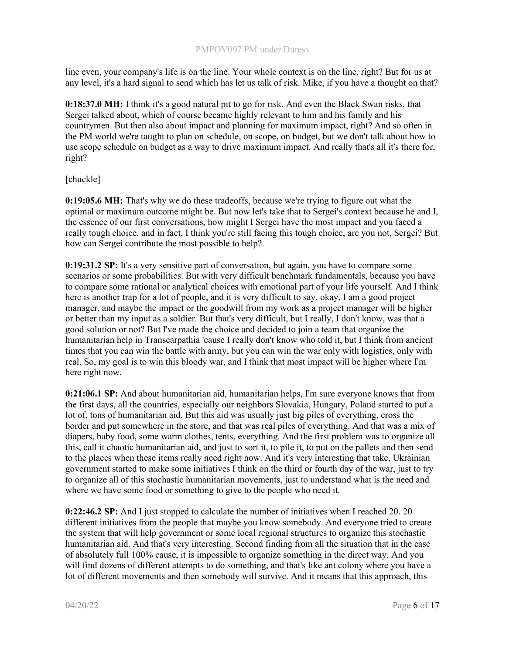line even, your company's life is on the line. Your whole context is on the line, right? But for us at any level, it's a hard signal to send which has let us talk of risk. Mike, if you have a thought on that?

0:18:37.0 MH: I think it's a good natural pit to go for risk. And even the Black Swan risks, that Sergei talked about, which of course became highly relevant to him and his family and his countrymen. But then also about impact and planning for maximum impact, right? And so often in the PM world we're taught to plan on schedule, on scope, on budget, but we don't talk about how to use scope schedule on budget as a way to drive maximum impact. And really that's all it's there for, right?

[chuckle]

0:19:05.6 MH: That's why we do these tradeoffs, because we're trying to figure out what the optimal or maximum outcome might be. But now let's take that to Sergei's context because he and I, the essence of our first conversations, how might I Sergei have the most impact and you faced a really tough choice, and in fact, I think you're still facing this tough choice, are you not, Sergei? But how can Sergei contribute the most possible to help?

0:19:31.2 SP: It's a very sensitive part of conversation, but again, you have to compare some scenarios or some probabilities. But with very difficult benchmark fundamentals, because you have to compare some rational or analytical choices with emotional part of your life yourself. And I think here is another trap for a lot of people, and it is very difficult to say, okay, I am a good project manager, and maybe the impact or the goodwill from my work as a project manager will be higher or better than my input as a soldier. But that's very difficult, but I really, I don't know, was that a good solution or not? But I've made the choice and decided to join a team that organize the humanitarian help in Transcarpathia 'cause I really don't know who told it, but I think from ancient times that you can win the battle with army, but you can win the war only with logistics, only with real. So, my goal is to win this bloody war, and I think that most impact will be higher where I'm here right now.

0:21:06.1 SP: And about humanitarian aid, humanitarian helps, I'm sure everyone knows that from the first days, all the countries, especially our neighbors Slovakia, Hungary, Poland started to put a lot of, tons of humanitarian aid. But this aid was usually just big piles of everything, cross the border and put somewhere in the store, and that was real piles of everything. And that was a mix of diapers, baby food, some warm clothes, tents, everything. And the first problem was to organize all this, call it chaotic humanitarian aid, and just to sort it, to pile it, to put on the pallets and then send to the places when these items really need right now. And it's very interesting that take, Ukrainian government started to make some initiatives I think on the third or fourth day of the war, just to try to organize all of this stochastic humanitarian movements, just to understand what is the need and where we have some food or something to give to the people who need it.

0:22:46.2 SP: And I just stopped to calculate the number of initiatives when I reached 20. 20 different initiatives from the people that maybe you know somebody. And everyone tried to create the system that will help government or some local regional structures to organize this stochastic humanitarian aid. And that's very interesting. Second finding from all the situation that in the case of absolutely full 100% cause, it is impossible to organize something in the direct way. And you will find dozens of different attempts to do something, and that's like ant colony where you have a lot of different movements and then somebody will survive. And it means that this approach, this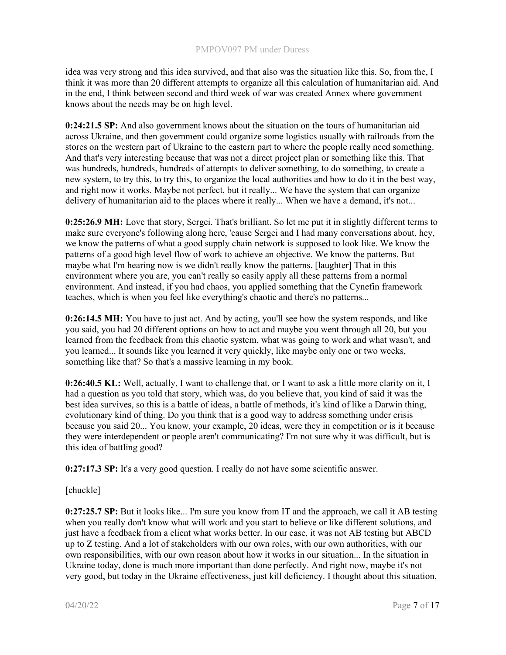idea was very strong and this idea survived, and that also was the situation like this. So, from the, I think it was more than 20 different attempts to organize all this calculation of humanitarian aid. And in the end, I think between second and third week of war was created Annex where government knows about the needs may be on high level.

0:24:21.5 SP: And also government knows about the situation on the tours of humanitarian aid across Ukraine, and then government could organize some logistics usually with railroads from the stores on the western part of Ukraine to the eastern part to where the people really need something. And that's very interesting because that was not a direct project plan or something like this. That was hundreds, hundreds, hundreds of attempts to deliver something, to do something, to create a new system, to try this, to try this, to organize the local authorities and how to do it in the best way, and right now it works. Maybe not perfect, but it really... We have the system that can organize delivery of humanitarian aid to the places where it really... When we have a demand, it's not...

0:25:26.9 MH: Love that story, Sergei. That's brilliant. So let me put it in slightly different terms to make sure everyone's following along here, 'cause Sergei and I had many conversations about, hey, we know the patterns of what a good supply chain network is supposed to look like. We know the patterns of a good high level flow of work to achieve an objective. We know the patterns. But maybe what I'm hearing now is we didn't really know the patterns. [laughter] That in this environment where you are, you can't really so easily apply all these patterns from a normal environment. And instead, if you had chaos, you applied something that the Cynefin framework teaches, which is when you feel like everything's chaotic and there's no patterns...

0:26:14.5 MH: You have to just act. And by acting, you'll see how the system responds, and like you said, you had 20 different options on how to act and maybe you went through all 20, but you learned from the feedback from this chaotic system, what was going to work and what wasn't, and you learned... It sounds like you learned it very quickly, like maybe only one or two weeks, something like that? So that's a massive learning in my book.

0:26:40.5 KL: Well, actually, I want to challenge that, or I want to ask a little more clarity on it, I had a question as you told that story, which was, do you believe that, you kind of said it was the best idea survives, so this is a battle of ideas, a battle of methods, it's kind of like a Darwin thing, evolutionary kind of thing. Do you think that is a good way to address something under crisis because you said 20... You know, your example, 20 ideas, were they in competition or is it because they were interdependent or people aren't communicating? I'm not sure why it was difficult, but is this idea of battling good?

0:27:17.3 SP: It's a very good question. I really do not have some scientific answer.

[chuckle]

0:27:25.7 SP: But it looks like... I'm sure you know from IT and the approach, we call it AB testing when you really don't know what will work and you start to believe or like different solutions, and just have a feedback from a client what works better. In our case, it was not AB testing but ABCD up to Z testing. And a lot of stakeholders with our own roles, with our own authorities, with our own responsibilities, with our own reason about how it works in our situation... In the situation in Ukraine today, done is much more important than done perfectly. And right now, maybe it's not very good, but today in the Ukraine effectiveness, just kill deficiency. I thought about this situation,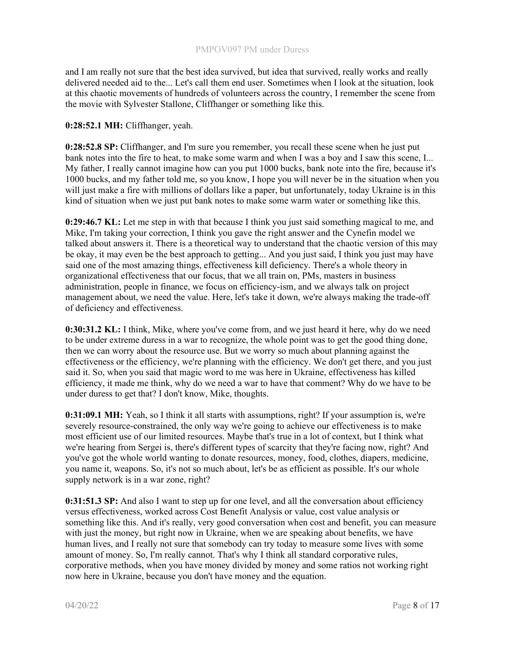and I am really not sure that the best idea survived, but idea that survived, really works and really delivered needed aid to the... Let's call them end user. Sometimes when I look at the situation, look at this chaotic movements of hundreds of volunteers across the country, I remember the scene from the movie with Sylvester Stallone, Cliffhanger or something like this.

0:28:52.1 MH: Cliffhanger, yeah.

0:28:52.8 SP: Cliffhanger, and I'm sure you remember, you recall these scene when he just put bank notes into the fire to heat, to make some warm and when I was a boy and I saw this scene, I... My father, I really cannot imagine how can you put 1000 bucks, bank note into the fire, because it's 1000 bucks, and my father told me, so you know, I hope you will never be in the situation when you will just make a fire with millions of dollars like a paper, but unfortunately, today Ukraine is in this kind of situation when we just put bank notes to make some warm water or something like this.

0:29:46.7 KL: Let me step in with that because I think you just said something magical to me, and Mike, I'm taking your correction, I think you gave the right answer and the Cynefin model we talked about answers it. There is a theoretical way to understand that the chaotic version of this may be okay, it may even be the best approach to getting... And you just said, I think you just may have said one of the most amazing things, effectiveness kill deficiency. There's a whole theory in organizational effectiveness that our focus, that we all train on, PMs, masters in business administration, people in finance, we focus on efficiency-ism, and we always talk on project management about, we need the value. Here, let's take it down, we're always making the trade-off of deficiency and effectiveness.

0:30:31.2 KL: I think, Mike, where you've come from, and we just heard it here, why do we need to be under extreme duress in a war to recognize, the whole point was to get the good thing done, then we can worry about the resource use. But we worry so much about planning against the effectiveness or the efficiency, we're planning with the efficiency. We don't get there, and you just said it. So, when you said that magic word to me was here in Ukraine, effectiveness has killed efficiency, it made me think, why do we need a war to have that comment? Why do we have to be under duress to get that? I don't know, Mike, thoughts.

0:31:09.1 MH: Yeah, so I think it all starts with assumptions, right? If your assumption is, we're severely resource-constrained, the only way we're going to achieve our effectiveness is to make most efficient use of our limited resources. Maybe that's true in a lot of context, but I think what we're hearing from Sergei is, there's different types of scarcity that they're facing now, right? And you've got the whole world wanting to donate resources, money, food, clothes, diapers, medicine, you name it, weapons. So, it's not so much about, let's be as efficient as possible. It's our whole supply network is in a war zone, right?

0:31:51.3 SP: And also I want to step up for one level, and all the conversation about efficiency versus effectiveness, worked across Cost Benefit Analysis or value, cost value analysis or something like this. And it's really, very good conversation when cost and benefit, you can measure with just the money, but right now in Ukraine, when we are speaking about benefits, we have human lives, and I really not sure that somebody can try today to measure some lives with some amount of money. So, I'm really cannot. That's why I think all standard corporative rules, corporative methods, when you have money divided by money and some ratios not working right now here in Ukraine, because you don't have money and the equation.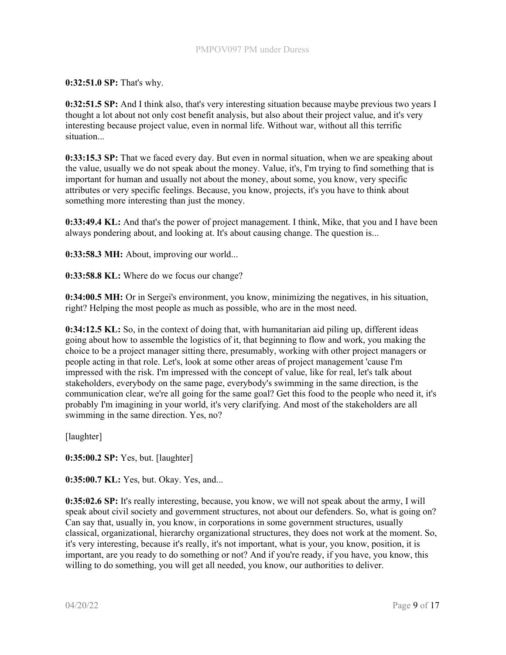0:32:51.0 SP: That's why.

0:32:51.5 SP: And I think also, that's very interesting situation because maybe previous two years I thought a lot about not only cost benefit analysis, but also about their project value, and it's very interesting because project value, even in normal life. Without war, without all this terrific situation...

0:33:15.3 SP: That we faced every day. But even in normal situation, when we are speaking about the value, usually we do not speak about the money. Value, it's, I'm trying to find something that is important for human and usually not about the money, about some, you know, very specific attributes or very specific feelings. Because, you know, projects, it's you have to think about something more interesting than just the money.

0:33:49.4 KL: And that's the power of project management. I think, Mike, that you and I have been always pondering about, and looking at. It's about causing change. The question is...

0:33:58.3 MH: About, improving our world...

0:33:58.8 KL: Where do we focus our change?

0:34:00.5 MH: Or in Sergei's environment, you know, minimizing the negatives, in his situation, right? Helping the most people as much as possible, who are in the most need.

0:34:12.5 KL: So, in the context of doing that, with humanitarian aid piling up, different ideas going about how to assemble the logistics of it, that beginning to flow and work, you making the choice to be a project manager sitting there, presumably, working with other project managers or people acting in that role. Let's, look at some other areas of project management 'cause I'm impressed with the risk. I'm impressed with the concept of value, like for real, let's talk about stakeholders, everybody on the same page, everybody's swimming in the same direction, is the communication clear, we're all going for the same goal? Get this food to the people who need it, it's probably I'm imagining in your world, it's very clarifying. And most of the stakeholders are all swimming in the same direction. Yes, no?

[laughter]

0:35:00.2 SP: Yes, but. [laughter]

0:35:00.7 KL: Yes, but. Okay. Yes, and...

0:35:02.6 SP: It's really interesting, because, you know, we will not speak about the army, I will speak about civil society and government structures, not about our defenders. So, what is going on? Can say that, usually in, you know, in corporations in some government structures, usually classical, organizational, hierarchy organizational structures, they does not work at the moment. So, it's very interesting, because it's really, it's not important, what is your, you know, position, it is important, are you ready to do something or not? And if you're ready, if you have, you know, this willing to do something, you will get all needed, you know, our authorities to deliver.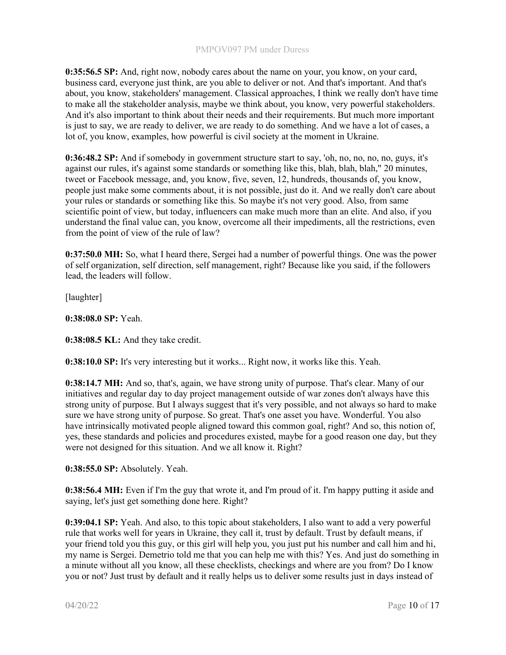0:35:56.5 SP: And, right now, nobody cares about the name on your, you know, on your card, business card, everyone just think, are you able to deliver or not. And that's important. And that's about, you know, stakeholders' management. Classical approaches, I think we really don't have time to make all the stakeholder analysis, maybe we think about, you know, very powerful stakeholders. And it's also important to think about their needs and their requirements. But much more important is just to say, we are ready to deliver, we are ready to do something. And we have a lot of cases, a lot of, you know, examples, how powerful is civil society at the moment in Ukraine.

0:36:48.2 SP: And if somebody in government structure start to say, 'oh, no, no, no, no, guys, it's against our rules, it's against some standards or something like this, blah, blah, blah," 20 minutes, tweet or Facebook message, and, you know, five, seven, 12, hundreds, thousands of, you know, people just make some comments about, it is not possible, just do it. And we really don't care about your rules or standards or something like this. So maybe it's not very good. Also, from same scientific point of view, but today, influencers can make much more than an elite. And also, if you understand the final value can, you know, overcome all their impediments, all the restrictions, even from the point of view of the rule of law?

0:37:50.0 MH: So, what I heard there, Sergei had a number of powerful things. One was the power of self organization, self direction, self management, right? Because like you said, if the followers lead, the leaders will follow.

[laughter]

0:38:08.0 SP: Yeah.

0:38:08.5 KL: And they take credit.

0:38:10.0 SP: It's very interesting but it works... Right now, it works like this. Yeah.

0:38:14.7 MH: And so, that's, again, we have strong unity of purpose. That's clear. Many of our initiatives and regular day to day project management outside of war zones don't always have this strong unity of purpose. But I always suggest that it's very possible, and not always so hard to make sure we have strong unity of purpose. So great. That's one asset you have. Wonderful. You also have intrinsically motivated people aligned toward this common goal, right? And so, this notion of, yes, these standards and policies and procedures existed, maybe for a good reason one day, but they were not designed for this situation. And we all know it. Right?

0:38:55.0 SP: Absolutely. Yeah.

0:38:56.4 MH: Even if I'm the guy that wrote it, and I'm proud of it. I'm happy putting it aside and saying, let's just get something done here. Right?

0:39:04.1 SP: Yeah. And also, to this topic about stakeholders, I also want to add a very powerful rule that works well for years in Ukraine, they call it, trust by default. Trust by default means, if your friend told you this guy, or this girl will help you, you just put his number and call him and hi, my name is Sergei. Demetrio told me that you can help me with this? Yes. And just do something in a minute without all you know, all these checklists, checkings and where are you from? Do I know you or not? Just trust by default and it really helps us to deliver some results just in days instead of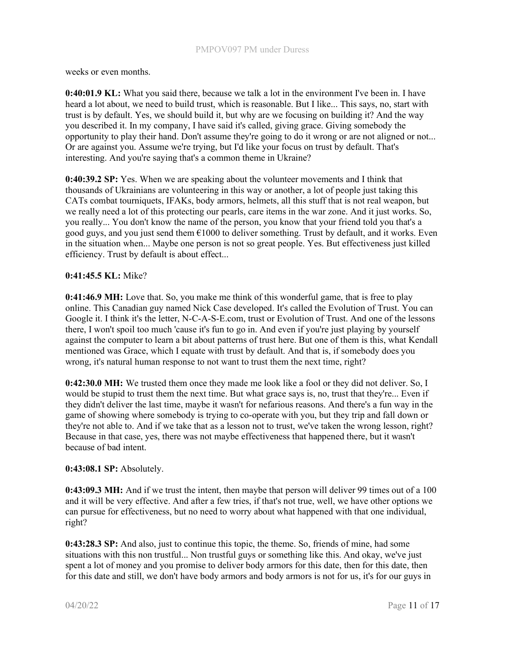weeks or even months.

0:40:01.9 KL: What you said there, because we talk a lot in the environment I've been in. I have heard a lot about, we need to build trust, which is reasonable. But I like... This says, no, start with trust is by default. Yes, we should build it, but why are we focusing on building it? And the way you described it. In my company, I have said it's called, giving grace. Giving somebody the opportunity to play their hand. Don't assume they're going to do it wrong or are not aligned or not... Or are against you. Assume we're trying, but I'd like your focus on trust by default. That's interesting. And you're saying that's a common theme in Ukraine?

0:40:39.2 SP: Yes. When we are speaking about the volunteer movements and I think that thousands of Ukrainians are volunteering in this way or another, a lot of people just taking this CATs combat tourniquets, IFAKs, body armors, helmets, all this stuff that is not real weapon, but we really need a lot of this protecting our pearls, care items in the war zone. And it just works. So, you really... You don't know the name of the person, you know that your friend told you that's a good guys, and you just send them  $\epsilon$ 1000 to deliver something. Trust by default, and it works. Even in the situation when... Maybe one person is not so great people. Yes. But effectiveness just killed efficiency. Trust by default is about effect...

## 0:41:45.5 KL: Mike?

0:41:46.9 MH: Love that. So, you make me think of this wonderful game, that is free to play online. This Canadian guy named Nick Case developed. It's called the Evolution of Trust. You can Google it. I think it's the letter, N-C-A-S-E.com, trust or Evolution of Trust. And one of the lessons there, I won't spoil too much 'cause it's fun to go in. And even if you're just playing by yourself against the computer to learn a bit about patterns of trust here. But one of them is this, what Kendall mentioned was Grace, which I equate with trust by default. And that is, if somebody does you wrong, it's natural human response to not want to trust them the next time, right?

0:42:30.0 MH: We trusted them once they made me look like a fool or they did not deliver. So, I would be stupid to trust them the next time. But what grace says is, no, trust that they're... Even if they didn't deliver the last time, maybe it wasn't for nefarious reasons. And there's a fun way in the game of showing where somebody is trying to co-operate with you, but they trip and fall down or they're not able to. And if we take that as a lesson not to trust, we've taken the wrong lesson, right? Because in that case, yes, there was not maybe effectiveness that happened there, but it wasn't because of bad intent.

## 0:43:08.1 SP: Absolutely.

0:43:09.3 MH: And if we trust the intent, then maybe that person will deliver 99 times out of a 100 and it will be very effective. And after a few tries, if that's not true, well, we have other options we can pursue for effectiveness, but no need to worry about what happened with that one individual, right?

0:43:28.3 SP: And also, just to continue this topic, the theme. So, friends of mine, had some situations with this non trustful... Non trustful guys or something like this. And okay, we've just spent a lot of money and you promise to deliver body armors for this date, then for this date, then for this date and still, we don't have body armors and body armors is not for us, it's for our guys in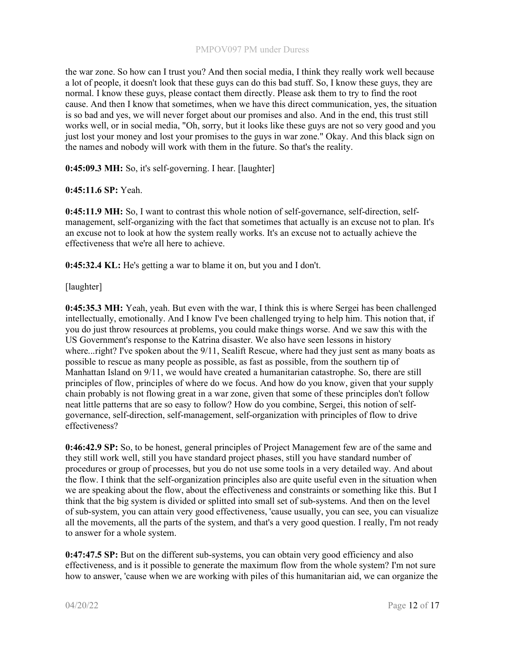the war zone. So how can I trust you? And then social media, I think they really work well because a lot of people, it doesn't look that these guys can do this bad stuff. So, I know these guys, they are normal. I know these guys, please contact them directly. Please ask them to try to find the root cause. And then I know that sometimes, when we have this direct communication, yes, the situation is so bad and yes, we will never forget about our promises and also. And in the end, this trust still works well, or in social media, "Oh, sorry, but it looks like these guys are not so very good and you just lost your money and lost your promises to the guys in war zone." Okay. And this black sign on the names and nobody will work with them in the future. So that's the reality.

0:45:09.3 MH: So, it's self-governing. I hear. [laughter]

# 0:45:11.6 SP: Yeah.

0:45:11.9 MH: So, I want to contrast this whole notion of self-governance, self-direction, selfmanagement, self-organizing with the fact that sometimes that actually is an excuse not to plan. It's an excuse not to look at how the system really works. It's an excuse not to actually achieve the effectiveness that we're all here to achieve.

0:45:32.4 KL: He's getting a war to blame it on, but you and I don't.

# [laughter]

0:45:35.3 MH: Yeah, yeah. But even with the war, I think this is where Sergei has been challenged intellectually, emotionally. And I know I've been challenged trying to help him. This notion that, if you do just throw resources at problems, you could make things worse. And we saw this with the US Government's response to the Katrina disaster. We also have seen lessons in history where...right? I've spoken about the 9/11, Sealift Rescue, where had they just sent as many boats as possible to rescue as many people as possible, as fast as possible, from the southern tip of Manhattan Island on 9/11, we would have created a humanitarian catastrophe. So, there are still principles of flow, principles of where do we focus. And how do you know, given that your supply chain probably is not flowing great in a war zone, given that some of these principles don't follow neat little patterns that are so easy to follow? How do you combine, Sergei, this notion of selfgovernance, self-direction, self-management, self-organization with principles of flow to drive effectiveness?

0:46:42.9 SP: So, to be honest, general principles of Project Management few are of the same and they still work well, still you have standard project phases, still you have standard number of procedures or group of processes, but you do not use some tools in a very detailed way. And about the flow. I think that the self-organization principles also are quite useful even in the situation when we are speaking about the flow, about the effectiveness and constraints or something like this. But I think that the big system is divided or splitted into small set of sub-systems. And then on the level of sub-system, you can attain very good effectiveness, 'cause usually, you can see, you can visualize all the movements, all the parts of the system, and that's a very good question. I really, I'm not ready to answer for a whole system.

0:47:47.5 SP: But on the different sub-systems, you can obtain very good efficiency and also effectiveness, and is it possible to generate the maximum flow from the whole system? I'm not sure how to answer, 'cause when we are working with piles of this humanitarian aid, we can organize the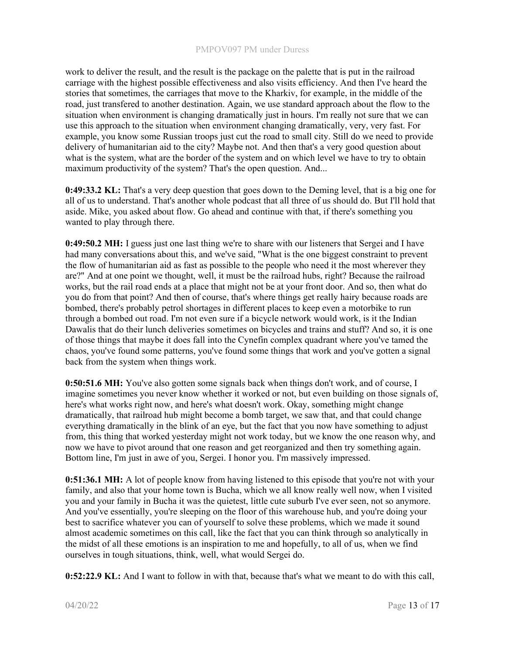work to deliver the result, and the result is the package on the palette that is put in the railroad carriage with the highest possible effectiveness and also visits efficiency. And then I've heard the stories that sometimes, the carriages that move to the Kharkiv, for example, in the middle of the road, just transfered to another destination. Again, we use standard approach about the flow to the situation when environment is changing dramatically just in hours. I'm really not sure that we can use this approach to the situation when environment changing dramatically, very, very fast. For example, you know some Russian troops just cut the road to small city. Still do we need to provide delivery of humanitarian aid to the city? Maybe not. And then that's a very good question about what is the system, what are the border of the system and on which level we have to try to obtain maximum productivity of the system? That's the open question. And...

0:49:33.2 KL: That's a very deep question that goes down to the Deming level, that is a big one for all of us to understand. That's another whole podcast that all three of us should do. But I'll hold that aside. Mike, you asked about flow. Go ahead and continue with that, if there's something you wanted to play through there.

0:49:50.2 MH: I guess just one last thing we're to share with our listeners that Sergei and I have had many conversations about this, and we've said, "What is the one biggest constraint to prevent the flow of humanitarian aid as fast as possible to the people who need it the most wherever they are?" And at one point we thought, well, it must be the railroad hubs, right? Because the railroad works, but the rail road ends at a place that might not be at your front door. And so, then what do you do from that point? And then of course, that's where things get really hairy because roads are bombed, there's probably petrol shortages in different places to keep even a motorbike to run through a bombed out road. I'm not even sure if a bicycle network would work, is it the Indian Dawalis that do their lunch deliveries sometimes on bicycles and trains and stuff? And so, it is one of those things that maybe it does fall into the Cynefin complex quadrant where you've tamed the chaos, you've found some patterns, you've found some things that work and you've gotten a signal back from the system when things work.

0:50:51.6 MH: You've also gotten some signals back when things don't work, and of course, I imagine sometimes you never know whether it worked or not, but even building on those signals of, here's what works right now, and here's what doesn't work. Okay, something might change dramatically, that railroad hub might become a bomb target, we saw that, and that could change everything dramatically in the blink of an eye, but the fact that you now have something to adjust from, this thing that worked yesterday might not work today, but we know the one reason why, and now we have to pivot around that one reason and get reorganized and then try something again. Bottom line, I'm just in awe of you, Sergei. I honor you. I'm massively impressed.

0:51:36.1 MH: A lot of people know from having listened to this episode that you're not with your family, and also that your home town is Bucha, which we all know really well now, when I visited you and your family in Bucha it was the quietest, little cute suburb I've ever seen, not so anymore. And you've essentially, you're sleeping on the floor of this warehouse hub, and you're doing your best to sacrifice whatever you can of yourself to solve these problems, which we made it sound almost academic sometimes on this call, like the fact that you can think through so analytically in the midst of all these emotions is an inspiration to me and hopefully, to all of us, when we find ourselves in tough situations, think, well, what would Sergei do.

0:52:22.9 KL: And I want to follow in with that, because that's what we meant to do with this call,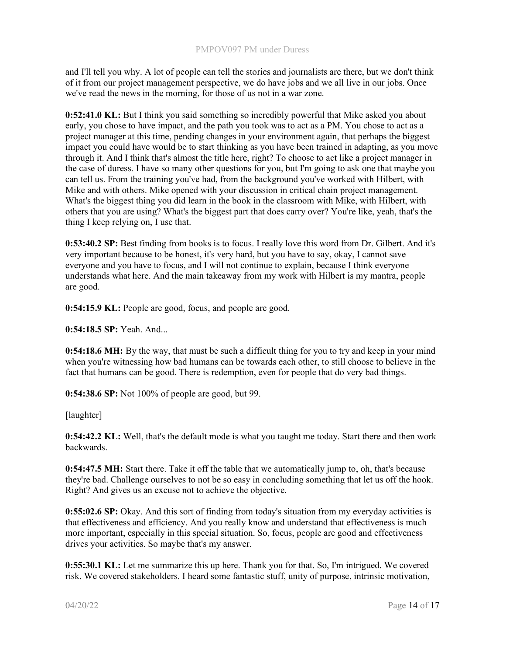and I'll tell you why. A lot of people can tell the stories and journalists are there, but we don't think of it from our project management perspective, we do have jobs and we all live in our jobs. Once we've read the news in the morning, for those of us not in a war zone.

0:52:41.0 KL: But I think you said something so incredibly powerful that Mike asked you about early, you chose to have impact, and the path you took was to act as a PM. You chose to act as a project manager at this time, pending changes in your environment again, that perhaps the biggest impact you could have would be to start thinking as you have been trained in adapting, as you move through it. And I think that's almost the title here, right? To choose to act like a project manager in the case of duress. I have so many other questions for you, but I'm going to ask one that maybe you can tell us. From the training you've had, from the background you've worked with Hilbert, with Mike and with others. Mike opened with your discussion in critical chain project management. What's the biggest thing you did learn in the book in the classroom with Mike, with Hilbert, with others that you are using? What's the biggest part that does carry over? You're like, yeah, that's the thing I keep relying on, I use that.

0:53:40.2 SP: Best finding from books is to focus. I really love this word from Dr. Gilbert. And it's very important because to be honest, it's very hard, but you have to say, okay, I cannot save everyone and you have to focus, and I will not continue to explain, because I think everyone understands what here. And the main takeaway from my work with Hilbert is my mantra, people are good.

0:54:15.9 KL: People are good, focus, and people are good.

0:54:18.5 SP: Yeah. And...

0:54:18.6 MH: By the way, that must be such a difficult thing for you to try and keep in your mind when you're witnessing how bad humans can be towards each other, to still choose to believe in the fact that humans can be good. There is redemption, even for people that do very bad things.

0:54:38.6 SP: Not 100% of people are good, but 99.

[laughter]

0:54:42.2 KL: Well, that's the default mode is what you taught me today. Start there and then work backwards.

0:54:47.5 MH: Start there. Take it off the table that we automatically jump to, oh, that's because they're bad. Challenge ourselves to not be so easy in concluding something that let us off the hook. Right? And gives us an excuse not to achieve the objective.

0:55:02.6 SP: Okay. And this sort of finding from today's situation from my everyday activities is that effectiveness and efficiency. And you really know and understand that effectiveness is much more important, especially in this special situation. So, focus, people are good and effectiveness drives your activities. So maybe that's my answer.

0:55:30.1 KL: Let me summarize this up here. Thank you for that. So, I'm intrigued. We covered risk. We covered stakeholders. I heard some fantastic stuff, unity of purpose, intrinsic motivation,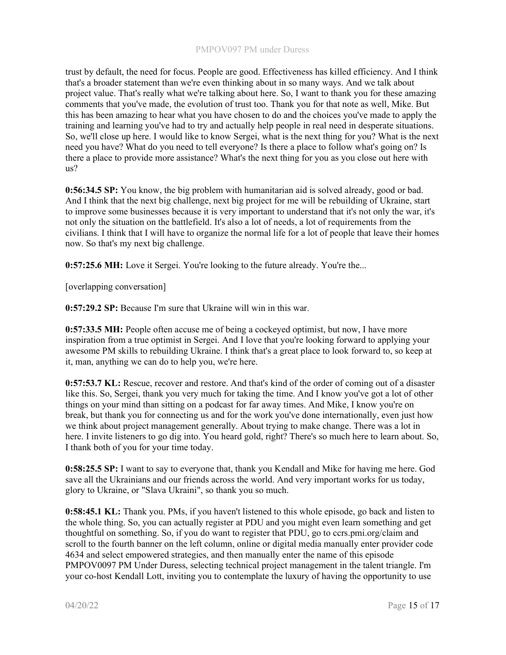trust by default, the need for focus. People are good. Effectiveness has killed efficiency. And I think that's a broader statement than we're even thinking about in so many ways. And we talk about project value. That's really what we're talking about here. So, I want to thank you for these amazing comments that you've made, the evolution of trust too. Thank you for that note as well, Mike. But this has been amazing to hear what you have chosen to do and the choices you've made to apply the training and learning you've had to try and actually help people in real need in desperate situations. So, we'll close up here. I would like to know Sergei, what is the next thing for you? What is the next need you have? What do you need to tell everyone? Is there a place to follow what's going on? Is there a place to provide more assistance? What's the next thing for you as you close out here with us?

0:56:34.5 SP: You know, the big problem with humanitarian aid is solved already, good or bad. And I think that the next big challenge, next big project for me will be rebuilding of Ukraine, start to improve some businesses because it is very important to understand that it's not only the war, it's not only the situation on the battlefield. It's also a lot of needs, a lot of requirements from the civilians. I think that I will have to organize the normal life for a lot of people that leave their homes now. So that's my next big challenge.

0:57:25.6 MH: Love it Sergei. You're looking to the future already. You're the...

[overlapping conversation]

0:57:29.2 SP: Because I'm sure that Ukraine will win in this war.

0:57:33.5 MH: People often accuse me of being a cockeyed optimist, but now, I have more inspiration from a true optimist in Sergei. And I love that you're looking forward to applying your awesome PM skills to rebuilding Ukraine. I think that's a great place to look forward to, so keep at it, man, anything we can do to help you, we're here.

0:57:53.7 KL: Rescue, recover and restore. And that's kind of the order of coming out of a disaster like this. So, Sergei, thank you very much for taking the time. And I know you've got a lot of other things on your mind than sitting on a podcast for far away times. And Mike, I know you're on break, but thank you for connecting us and for the work you've done internationally, even just how we think about project management generally. About trying to make change. There was a lot in here. I invite listeners to go dig into. You heard gold, right? There's so much here to learn about. So, I thank both of you for your time today.

0:58:25.5 SP: I want to say to everyone that, thank you Kendall and Mike for having me here. God save all the Ukrainians and our friends across the world. And very important works for us today, glory to Ukraine, or "Slava Ukraini", so thank you so much.

0:58:45.1 KL: Thank you. PMs, if you haven't listened to this whole episode, go back and listen to the whole thing. So, you can actually register at PDU and you might even learn something and get thoughtful on something. So, if you do want to register that PDU, go to ccrs.pmi.org/claim and scroll to the fourth banner on the left column, online or digital media manually enter provider code 4634 and select empowered strategies, and then manually enter the name of this episode PMPOV0097 PM Under Duress, selecting technical project management in the talent triangle. I'm your co-host Kendall Lott, inviting you to contemplate the luxury of having the opportunity to use